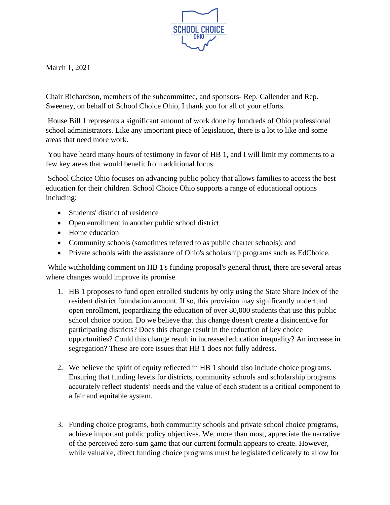

March 1, 2021

Chair Richardson, members of the subcommittee, and sponsors- Rep. Callender and Rep. Sweeney, on behalf of School Choice Ohio, I thank you for all of your efforts.

House Bill 1 represents a significant amount of work done by hundreds of Ohio professional school administrators. Like any important piece of legislation, there is a lot to like and some areas that need more work.

You have heard many hours of testimony in favor of HB 1, and I will limit my comments to a few key areas that would benefit from additional focus.

School Choice Ohio focuses on advancing public policy that allows families to access the best education for their children. School Choice Ohio supports a range of educational options including:

- Students' district of residence
- Open enrollment in another public school district
- Home education
- Community schools (sometimes referred to as public charter schools); and
- Private schools with the assistance of Ohio's scholarship programs such as EdChoice.

While withholding comment on HB 1's funding proposal's general thrust, there are several areas where changes would improve its promise.

- 1. HB 1 proposes to fund open enrolled students by only using the State Share Index of the resident district foundation amount. If so, this provision may significantly underfund open enrollment, jeopardizing the education of over 80,000 students that use this public school choice option. Do we believe that this change doesn't create a disincentive for participating districts? Does this change result in the reduction of key choice opportunities? Could this change result in increased education inequality? An increase in segregation? These are core issues that HB 1 does not fully address.
- 2. We believe the spirit of equity reflected in HB 1 should also include choice programs. Ensuring that funding levels for districts, community schools and scholarship programs accurately reflect students' needs and the value of each student is a critical component to a fair and equitable system.
- 3. Funding choice programs, both community schools and private school choice programs, achieve important public policy objectives. We, more than most, appreciate the narrative of the perceived zero-sum game that our current formula appears to create. However, while valuable, direct funding choice programs must be legislated delicately to allow for